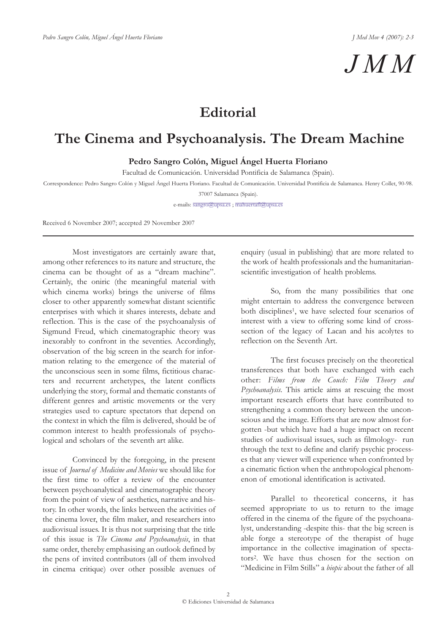## *JMM*

## **Editorial**

## **The Cinema and Psychoanalysis. The Dream Machine**

**Pedro Sangro Colón, Miguel Ángel Huerta Floriano**

Facultad de Comunicación. Universidad Pontificia de Salamanca (Spain).

Correspondence: Pedro Sangro Colón y Miguel Ángel Huerta Floriano. Facultad de Comunicación. Universidad Pontificia de Salamanca. Henry Collet, 90-98.

37007 Salamanca (Spain).

e-mails: sangro@upsa.es ; mahuertafl@upsa.es

Received 6 November 2007; accepted 29 November 2007

Most investigators are certainly aware that, among other references to its nature and structure, the cinema can be thought of as a "dream machine". Certainly, the oniric (the meaningful material with which cinema works) brings the universe of films closer to other apparently somewhat distant scientific enterprises with which it shares interests, debate and reflection. This is the case of the psychoanalysis of Sigmund Freud, which cinematographic theory was inexorably to confront in the seventies. Accordingly, observation of the big screen in the search for information relating to the emergence of the material of the unconscious seen in some films, fictitious characters and recurrent archetypes, the latent conflicts underlying the story, formal and thematic constants of different genres and artistic movements or the very strategies used to capture spectators that depend on the context in which the film is delivered, should be of common interest to health professionals of psychological and scholars of the seventh art alike.

Convinced by the foregoing, in the present issue of *Journal of Medicine and Movies* we should like for the first time to offer a review of the encounter between psychoanalytical and cinematographic theory from the point of view of aesthetics, narrative and history. In other words, the links between the activities of the cinema lover, the film maker, and researchers into audiovisual issues. It is thus not surprising that the title of this issue is *The Cinema and Psychoanalysis*, in that same order, thereby emphasising an outlook defined by the pens of invited contributors (all of them involved in cinema critique) over other possible avenues of enquiry (usual in publishing) that are more related to the work of health professionals and the humanitarianscientific investigation of health problems.

So, from the many possibilities that one might entertain to address the convergence between both disciplines<sup>1</sup>, we have selected four scenarios of interest with a view to offering some kind of crosssection of the legacy of Lacan and his acolytes to reflection on the Seventh Art.

The first focuses precisely on the theoretical transferences that both have exchanged with each other: *Films from the Couch: Film Theory and Psychoanalysis*. This article aims at rescuing the most important research efforts that have contributed to strengthening a common theory between the unconscious and the image. Efforts that are now almost forgotten -but which have had a huge impact on recent studies of audiovisual issues, such as filmology- run through the text to define and clarify psychic processes that any viewer will experience when confronted by a cinematic fiction when the anthropological phenomenon of emotional identification is activated.

Parallel to theoretical concerns, it has seemed appropriate to us to return to the image offered in the cinema of the figure of the psychoanalyst, understanding -despite this- that the big screen is able forge a stereotype of the therapist of huge importance in the collective imagination of spectators2. We have thus chosen for the section on "Medicine in Film Stills" a *biopic* about the father of all